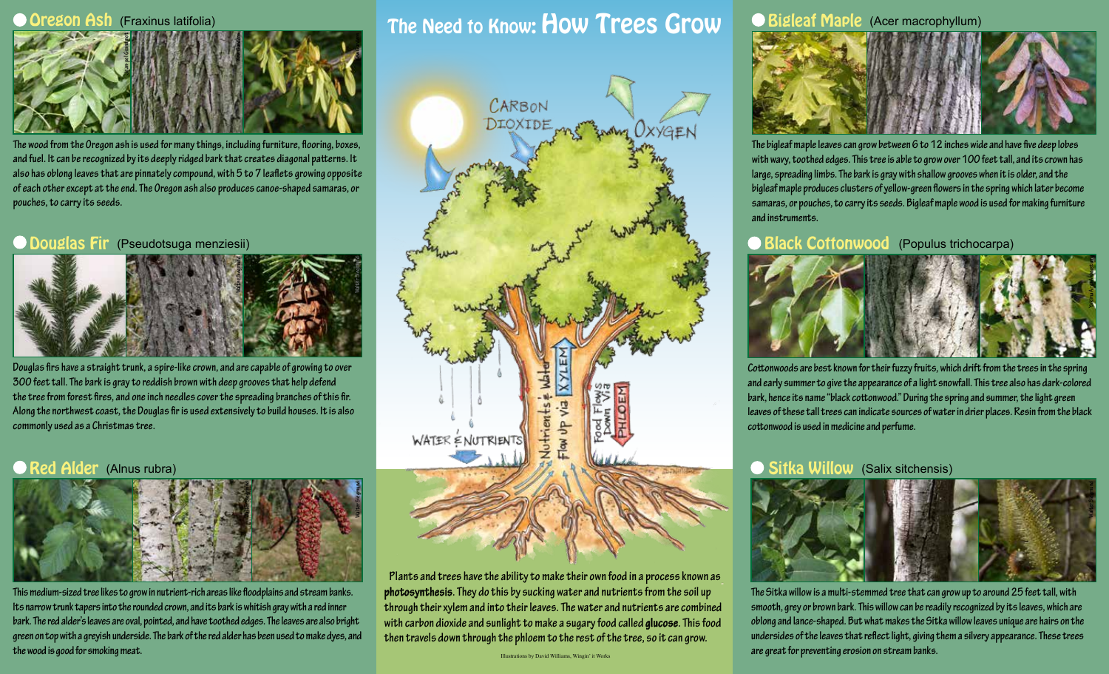#### **Oregon Ash** (Fraxinus latifolia)



**The wood from the Oregon ash is used for many things, including furniture, flooring, boxes, and fuel. It can be recognized by its deeply ridged bark that creates diagonal patterns. It also has oblong leaves that are pinnately compound, with 5 to 7 leaflets growing opposite of each other except at the end. The Oregon ash also produces canoe-shaped samaras, or pouches, to carry its seeds.**

#### Douglas Fir (Pseudotsuga menziesii)



**Douglas firs have a straight trunk, a spire-like crown, and are capable of growing to over 300 feet tall. The bark is gray to reddish brown with deep grooves that help defend the tree from forest fires, and one inch needles cover the spreading branches of this fir. Along the northwest coast, the Douglas fir is used extensively to build houses. It is also commonly used as a Christmas tree.**

#### Red Alder (Alnus rubra)



**This medium-sized tree likes to grow in nutrient-rich areas like floodplains and stream banks. Its narrow trunk tapers into the rounded crown, and its bark is whitish gray with a red inner bark. The red alder's leaves are oval, pointed, and have toothed edges. The leaves are also bright green on top with a greyish underside. The bark of the red alder has been used to make dyes, and the wood is good for smoking meat.**

### The Need to Know: How Trees Grow



**Plants and trees have the ability to make their own food in a process known as photosynthesis. They do this by sucking water and nutrients from the soil up through their xylem and into their leaves. The water and nutrients are combined with carbon dioxide and sunlight to make a sugary food called glucose. This food then travels down through the phloem to the rest of the tree, so it can grow.**

#### **Bigleaf Maple** (Acer macrophyllum)



**The bigleaf maple leaves can grow between 6 to 12 inches wide and have five deep lobes with wavy, toothed edges. This tree is able to grow over 100 feet tall, and its crown has large, spreading limbs. The bark is gray with shallow grooves when it is older, and the bigleaf maple produces clusters of yellow-green flowers in the spring which later become samaras, or pouches, to carry its seeds. Bigleaf maple wood is used for making furniture and instruments.** 

#### Black Cottonwood (Populus trichocarpa)



**Cottonwoods are best known for their fuzzy fruits, which drift from the trees in the spring and early summer to give the appearance of a light snowfall. This tree also has dark-colored bark, hence its name "black cottonwood." During the spring and summer, the light green leaves of these tall trees can indicate sources of water in drier places. Resin from the black cottonwood is used in medicine and perfume.** 

#### Sitka Willow (Salix sitchensis)



**The Sitka willow is a multi-stemmed tree that can grow up to around 25 feet tall, with smooth, grey or brown bark. This willow can be readily recognized by its leaves, which are oblong and lance-shaped. But what makes the Sitka willow leaves unique are hairs on the undersides of the leaves that reflect light, giving them a silvery appearance. These trees are great for preventing erosion on stream banks.**